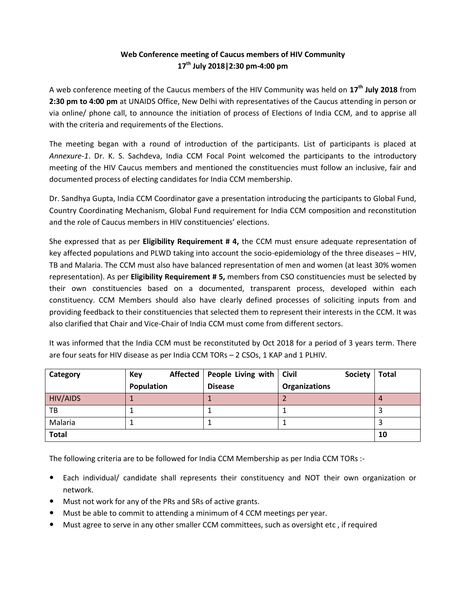## **Web Conference meeting of Caucus members of HIV Community 17th July 2018|2:30 pm-4:00 pm**

A web conference meeting of the Caucus members of the HIV Community was held on **17th July 2018** from **2:30 pm to 4:00 pm** at UNAIDS Office, New Delhi with representatives of the Caucus attending in person or via online/ phone call, to announce the initiation of process of Elections of India CCM, and to apprise all with the criteria and requirements of the Elections.

The meeting began with a round of introduction of the participants. List of participants is placed at *Annexure-1*. Dr. K. S. Sachdeva, India CCM Focal Point welcomed the participants to the introductory meeting of the HIV Caucus members and mentioned the constituencies must follow an inclusive, fair and documented process of electing candidates for India CCM membership.

Dr. Sandhya Gupta, India CCM Coordinator gave a presentation introducing the participants to Global Fund, Country Coordinating Mechanism, Global Fund requirement for India CCM composition and reconstitution and the role of Caucus members in HIV constituencies' elections.

She expressed that as per **Eligibility Requirement # 4,** the CCM must ensure adequate representation of key affected populations and PLWD taking into account the socio-epidemiology of the three diseases – HIV, TB and Malaria. The CCM must also have balanced representation of men and women (at least 30% women representation). As per **Eligibility Requirement # 5,** members from CSO constituencies must be selected by their own constituencies based on a documented, transparent process, developed within each constituency. CCM Members should also have clearly defined processes of soliciting inputs from and providing feedback to their constituencies that selected them to represent their interests in the CCM. It was also clarified that Chair and Vice-Chair of India CCM must come from different sectors.

| Category     | Key        | Affected   People Living with   Civil | <b>Society</b>       | <b>Total</b> |
|--------------|------------|---------------------------------------|----------------------|--------------|
|              | Population | <b>Disease</b>                        | <b>Organizations</b> |              |
| HIV/AIDS     |            |                                       |                      |              |
| TB           |            |                                       |                      |              |
| Malaria      |            |                                       |                      |              |
| <b>Total</b> |            |                                       |                      | 10           |

It was informed that the India CCM must be reconstituted by Oct 2018 for a period of 3 years term. There are four seats for HIV disease as per India CCM TORs – 2 CSOs, 1 KAP and 1 PLHIV.

The following criteria are to be followed for India CCM Membership as per India CCM TORs :-

- Each individual/ candidate shall represents their constituency and NOT their own organization or network.
- Must not work for any of the PRs and SRs of active grants.
- Must be able to commit to attending a minimum of 4 CCM meetings per year.
- Must agree to serve in any other smaller CCM committees, such as oversight etc , if required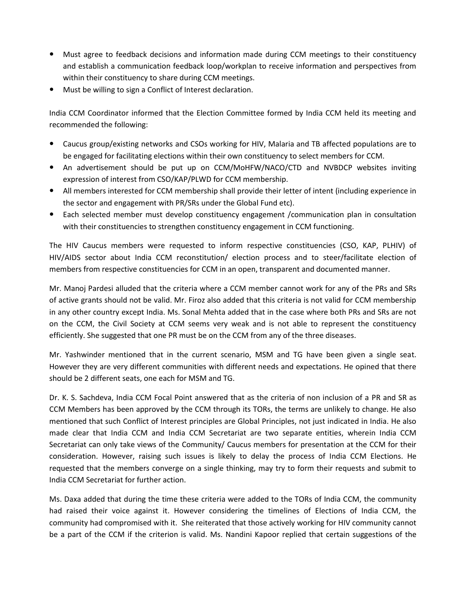- Must agree to feedback decisions and information made during CCM meetings to their constituency and establish a communication feedback loop/workplan to receive information and perspectives from within their constituency to share during CCM meetings.
- Must be willing to sign a Conflict of Interest declaration.

India CCM Coordinator informed that the Election Committee formed by India CCM held its meeting and recommended the following:

- Caucus group/existing networks and CSOs working for HIV, Malaria and TB affected populations are to be engaged for facilitating elections within their own constituency to select members for CCM.
- An advertisement should be put up on CCM/MoHFW/NACO/CTD and NVBDCP websites inviting expression of interest from CSO/KAP/PLWD for CCM membership.
- All members interested for CCM membership shall provide their letter of intent (including experience in the sector and engagement with PR/SRs under the Global Fund etc).
- Each selected member must develop constituency engagement /communication plan in consultation with their constituencies to strengthen constituency engagement in CCM functioning.

The HIV Caucus members were requested to inform respective constituencies (CSO, KAP, PLHIV) of HIV/AIDS sector about India CCM reconstitution/ election process and to steer/facilitate election of members from respective constituencies for CCM in an open, transparent and documented manner.

Mr. Manoj Pardesi alluded that the criteria where a CCM member cannot work for any of the PRs and SRs of active grants should not be valid. Mr. Firoz also added that this criteria is not valid for CCM membership in any other country except India. Ms. Sonal Mehta added that in the case where both PRs and SRs are not on the CCM, the Civil Society at CCM seems very weak and is not able to represent the constituency efficiently. She suggested that one PR must be on the CCM from any of the three diseases.

Mr. Yashwinder mentioned that in the current scenario, MSM and TG have been given a single seat. However they are very different communities with different needs and expectations. He opined that there should be 2 different seats, one each for MSM and TG.

Dr. K. S. Sachdeva, India CCM Focal Point answered that as the criteria of non inclusion of a PR and SR as CCM Members has been approved by the CCM through its TORs, the terms are unlikely to change. He also mentioned that such Conflict of Interest principles are Global Principles, not just indicated in India. He also made clear that India CCM and India CCM Secretariat are two separate entities, wherein India CCM Secretariat can only take views of the Community/ Caucus members for presentation at the CCM for their consideration. However, raising such issues is likely to delay the process of India CCM Elections. He requested that the members converge on a single thinking, may try to form their requests and submit to India CCM Secretariat for further action.

Ms. Daxa added that during the time these criteria were added to the TORs of India CCM, the community had raised their voice against it. However considering the timelines of Elections of India CCM, the community had compromised with it. She reiterated that those actively working for HIV community cannot be a part of the CCM if the criterion is valid. Ms. Nandini Kapoor replied that certain suggestions of the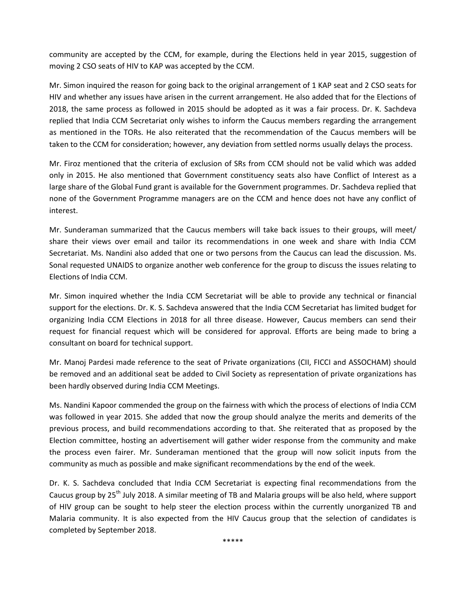community are accepted by the CCM, for example, during the Elections held in year 2015, suggestion of moving 2 CSO seats of HIV to KAP was accepted by the CCM.

Mr. Simon inquired the reason for going back to the original arrangement of 1 KAP seat and 2 CSO seats for HIV and whether any issues have arisen in the current arrangement. He also added that for the Elections of 2018, the same process as followed in 2015 should be adopted as it was a fair process. Dr. K. Sachdeva replied that India CCM Secretariat only wishes to inform the Caucus members regarding the arrangement as mentioned in the TORs. He also reiterated that the recommendation of the Caucus members will be taken to the CCM for consideration; however, any deviation from settled norms usually delays the process.

Mr. Firoz mentioned that the criteria of exclusion of SRs from CCM should not be valid which was added only in 2015. He also mentioned that Government constituency seats also have Conflict of Interest as a large share of the Global Fund grant is available for the Government programmes. Dr. Sachdeva replied that none of the Government Programme managers are on the CCM and hence does not have any conflict of interest.

Mr. Sunderaman summarized that the Caucus members will take back issues to their groups, will meet/ share their views over email and tailor its recommendations in one week and share with India CCM Secretariat. Ms. Nandini also added that one or two persons from the Caucus can lead the discussion. Ms. Sonal requested UNAIDS to organize another web conference for the group to discuss the issues relating to Elections of India CCM.

Mr. Simon inquired whether the India CCM Secretariat will be able to provide any technical or financial support for the elections. Dr. K. S. Sachdeva answered that the India CCM Secretariat has limited budget for organizing India CCM Elections in 2018 for all three disease. However, Caucus members can send their request for financial request which will be considered for approval. Efforts are being made to bring a consultant on board for technical support.

Mr. Manoj Pardesi made reference to the seat of Private organizations (CII, FICCI and ASSOCHAM) should be removed and an additional seat be added to Civil Society as representation of private organizations has been hardly observed during India CCM Meetings.

Ms. Nandini Kapoor commended the group on the fairness with which the process of elections of India CCM was followed in year 2015. She added that now the group should analyze the merits and demerits of the previous process, and build recommendations according to that. She reiterated that as proposed by the Election committee, hosting an advertisement will gather wider response from the community and make the process even fairer. Mr. Sunderaman mentioned that the group will now solicit inputs from the community as much as possible and make significant recommendations by the end of the week.

Dr. K. S. Sachdeva concluded that India CCM Secretariat is expecting final recommendations from the Caucus group by 25<sup>th</sup> July 2018. A similar meeting of TB and Malaria groups will be also held, where support of HIV group can be sought to help steer the election process within the currently unorganized TB and Malaria community. It is also expected from the HIV Caucus group that the selection of candidates is completed by September 2018.

\*\*\*\*\*